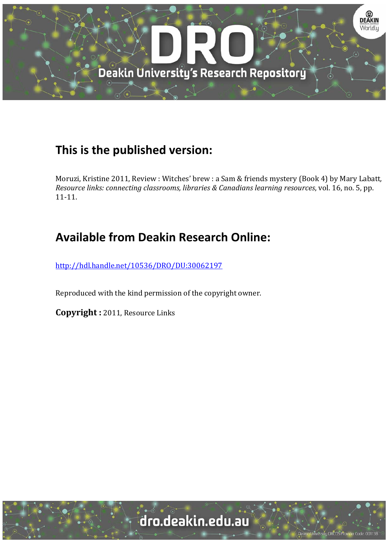

## **This is the published version:**

Moruzi, Kristine 2011, Review : Witches' brew : a Sam & friends mystery (Book 4) by Mary Labatt, *Resource links: connecting classrooms, libraries & Canadians learning resources*, vol. 16, no. 5, pp. 11‐11. 

## **Available from Deakin Research Online:**

http://hdl.handle.net/10536/DRO/DU:30062197

Reproduced with the kind permission of the copyright owner.

**Copyright**: 2011, Resource Links